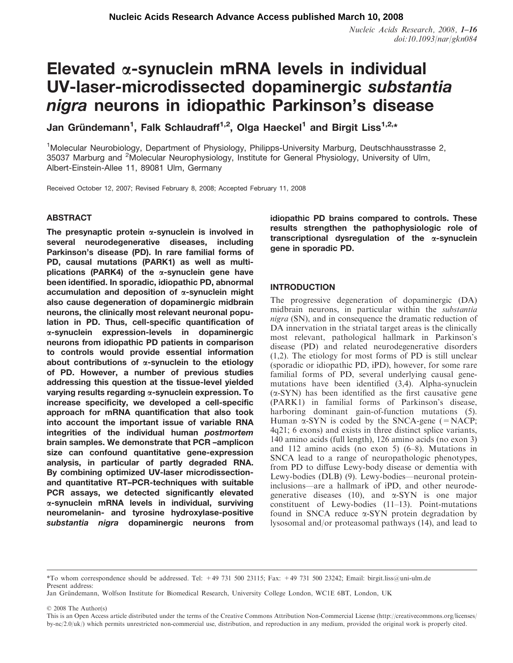# Elevated  $\alpha$ -synuclein mRNA levels in individual UV-laser-microdissected dopaminergic substantia nigra neurons in idiopathic Parkinson's disease

Jan Gründemann<sup>1</sup>, Falk Schlaudraff<sup>1,2</sup>, Olga Haeckel<sup>1</sup> and Birgit Liss<sup>1,2,</sup>\*

<sup>1</sup>Molecular Neurobiology, Department of Physiology, Philipps-University Marburg, Deutschhausstrasse 2, 35037 Marburg and <sup>2</sup>Molecular Neurophysiology, Institute for General Physiology, University of Ulm, Albert-Einstein-Allee 11, 89081 Ulm, Germany

Received October 12, 2007; Revised February 8, 2008; Accepted February 11, 2008

## ABSTRACT

The presynaptic protein  $\alpha$ -synuclein is involved in several neurodegenerative diseases, including Parkinson's disease (PD). In rare familial forms of PD, causal mutations (PARK1) as well as multiplications (PARK4) of the  $\alpha$ -synuclein gene have been identified. In sporadic, idiopathic PD, abnormal accumulation and deposition of  $\alpha$ -synuclein might also cause degeneration of dopaminergic midbrain neurons, the clinically most relevant neuronal population in PD. Thus, cell-specific quantification of a-synuclein expression-levels in dopaminergic neurons from idiopathic PD patients in comparison to controls would provide essential information about contributions of  $\alpha$ -synuclein to the etiology of PD. However, a number of previous studies addressing this question at the tissue-level yielded varying results regarding a-synuclein expression. To increase specificity, we developed a cell-specific approach for mRNA quantification that also took into account the important issue of variable RNA integrities of the individual human postmortem brain samples. We demonstrate that PCR –amplicon size can confound quantitative gene-expression analysis, in particular of partly degraded RNA. By combining optimized UV-laser microdissectionand quantitative RT–PCR-techniques with suitable PCR assays, we detected significantly elevated a-synuclein mRNA levels in individual, surviving neuromelanin- and tyrosine hydroxylase-positive substantia nigra dopaminergic neurons from

idiopathic PD brains compared to controls. These results strengthen the pathophysiologic role of transcriptional dysregulation of the  $\alpha$ -synuclein gene in sporadic PD.

## INTRODUCTION

The progressive degeneration of dopaminergic (DA) midbrain neurons, in particular within the substantia nigra (SN), and in consequence the dramatic reduction of DA innervation in the striatal target areas is the clinically most relevant, pathological hallmark in Parkinson's disease (PD) and related neurodegenerative disorders (1,2). The etiology for most forms of PD is still unclear (sporadic or idiopathic PD, iPD), however, for some rare familial forms of PD, several underlying causal genemutations have been identified (3,4). Alpha-synuclein  $(\alpha$ -SYN) has been identified as the first causative gene (PARK1) in familial forms of Parkinson's disease, harboring dominant gain-of-function mutations (5). Human  $\alpha$ -SYN is coded by the SNCA-gene (=NACP; 4q21; 6 exons) and exists in three distinct splice variants, 140 amino acids (full length), 126 amino acids (no exon 3) and 112 amino acids (no exon 5) (6–8). Mutations in SNCA lead to a range of neuropathologic phenotypes, from PD to diffuse Lewy-body disease or dementia with Lewy-bodies (DLB) (9). Lewy-bodies—neuronal proteininclusions—are a hallmark of iPD, and other neurodegenerative diseases (10), and  $\alpha$ -SYN is one major constituent of Lewy-bodies (11–13). Point-mutations found in SNCA reduce  $\alpha$ -SYN protein degradation by lysosomal and/or proteasomal pathways (14), and lead to

2008 The Author(s)

<sup>\*</sup>To whom correspondence should be addressed. Tel:  $+49$  731 500 23115; Fax:  $+49$  731 500 23242; Email: birgit.liss@uni-ulm.de Present address:

Jan Gründemann, Wolfson Institute for Biomedical Research, University College London, WC1E 6BT, London, UK

This is an Open Access article distributed under the terms of the Creative Commons Attribution Non-Commercial License (<http://creativecommons.org/licenses/> by-nc/2.0/uk/) which permits unrestricted non-commercial use, distribution, and reproduction in any medium, provided the original work is properly cited.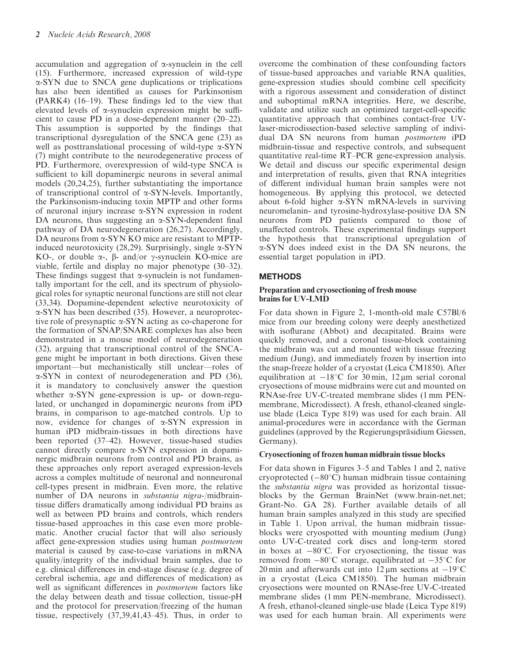accumulation and aggregation of  $\alpha$ -synuclein in the cell (15). Furthermore, increased expression of wild-type a-SYN due to SNCA gene duplications or triplications has also been identified as causes for Parkinsonism (PARK4) (16–19). These findings led to the view that elevated levels of  $\alpha$ -synuclein expression might be sufficient to cause PD in a dose-dependent manner (20–22). This assumption is supported by the findings that transcriptional dysregulation of the SNCA gene (23) as well as posttranslational processing of wild-type  $\alpha$ -SYN (7) might contribute to the neurodegenerative process of PD. Furthermore, overexpression of wild-type SNCA is sufficient to kill dopaminergic neurons in several animal models (20,24,25), further substantiating the importance of transcriptional control of  $\alpha$ -SYN-levels. Importantly, the Parkinsonism-inducing toxin MPTP and other forms of neuronal injury increase  $\alpha$ -SYN expression in rodent DA neurons, thus suggesting an  $\alpha$ -SYN-dependent final pathway of DA neurodegeneration (26,27). Accordingly, DA neurons from α-SYN KO mice are resistant to MPTPinduced neurotoxicity (28,29). Surprisingly, single  $\alpha$ -SYN KO-, or double  $\alpha$ -,  $\beta$ - and/or  $\gamma$ -synuclein KO-mice are viable, fertile and display no major phenotype (30–32). These findings suggest that  $\alpha$ -synuclein is not fundamentally important for the cell, and its spectrum of physiological roles for synaptic neuronal functions are still not clear (33,34). Dopamine-dependent selective neurotoxicity of a-SYN has been described (35). However, a neuroprotective role of presynaptic a-SYN acting as co-chaperone for the formation of SNAP/SNARE complexes has also been demonstrated in a mouse model of neurodegeneration (32), arguing that transcriptional control of the SNCAgene might be important in both directions. Given these important—but mechanistically still unclear—roles of a-SYN in context of neurodegeneration and PD (36), it is mandatory to conclusively answer the question whether  $\alpha$ -SYN gene-expression is up- or down-regulated, or unchanged in dopaminergic neurons from iPD brains, in comparison to age-matched controls. Up to now, evidence for changes of a-SYN expression in human iPD midbrain-tissues in both directions have been reported (37–42). However, tissue-based studies cannot directly compare  $\alpha$ -SYN expression in dopaminergic midbrain neurons from control and PD brains, as these approaches only report averaged expression-levels across a complex multitude of neuronal and nonneuronal cell-types present in midbrain. Even more, the relative number of DA neurons in substantia nigra-/midbraintissue differs dramatically among individual PD brains as well as between PD brains and controls, which renders tissue-based approaches in this case even more problematic. Another crucial factor that will also seriously affect gene-expression studies using human postmortem material is caused by case-to-case variations in mRNA quality/integrity of the individual brain samples, due to e.g. clinical differences in end-stage disease (e.g. degree of cerebral ischemia, age and differences of medication) as well as significant differences in *postmortem* factors like the delay between death and tissue collection, tissue-pH and the protocol for preservation/freezing of the human tissue, respectively (37,39,41,43–45). Thus, in order to

overcome the combination of these confounding factors of tissue-based approaches and variable RNA qualities, gene-expression studies should combine cell specificity with a rigorous assessment and consideration of distinct and suboptimal mRNA integrities. Here, we describe, validate and utilize such an optimized target-cell-specific quantitative approach that combines contact-free UVlaser-microdissection-based selective sampling of individual DA SN neurons from human postmortem iPD midbrain-tissue and respective controls, and subsequent quantitative real-time RT–PCR gene-expression analysis. We detail and discuss our specific experimental design and interpretation of results, given that RNA integrities of different individual human brain samples were not homogeneous. By applying this protocol, we detected about 6-fold higher  $\alpha$ -SYN mRNA-levels in surviving neuromelanin- and tyrosine-hydroxylase-positive DA SN neurons from PD patients compared to those of unaffected controls. These experimental findings support the hypothesis that transcriptional upregulation of a-SYN does indeed exist in the DA SN neurons, the essential target population in iPD.

# **METHODS**

#### Preparation and cryosectioning of fresh mouse brains for UV-LMD

For data shown in Figure 2, 1-month-old male C57Bl/6 mice from our breeding colony were deeply anesthetized with isoflurane (Abbot) and decapitated. Brains were quickly removed, and a coronal tissue-block containing the midbrain was cut and mounted with tissue freezing medium (Jung), and immediately frozen by insertion into the snap-freeze holder of a cryostat (Leica CM1850). After equilibration at  $-18^{\circ}$ C for 30 min, 12  $\mu$ m serial coronal cryosections of mouse midbrains were cut and mounted on RNAse-free UV-C-treated membrane slides (1 mm PENmembrane, Microdissect). A fresh, ethanol-cleaned singleuse blade (Leica Type 819) was used for each brain. All animal-procedures were in accordance with the German guidelines (approved by the Regierungspräsidium Giessen, Germany).

## Cryosectioning of frozen human midbrain tissue blocks

For data shown in Figures 3–5 and Tables 1 and 2, native cryoprotected  $(-80^{\circ}C)$  human midbrain tissue containing the substantia nigra was provided as horizontal tissueblocks by the German BrainNet (www.brain-net.net; Grant-No. GA 28). Further available details of all human brain samples analyzed in this study are specified in Table 1. Upon arrival, the human midbrain tissueblocks were cryospotted with mounting medium (Jung) onto UV-C-treated cork discs and long-term stored in boxes at  $-80^{\circ}$ C. For cryosectioning, the tissue was removed from  $-80^{\circ}$ C storage, equilibrated at  $-35^{\circ}$ C for 20 min and afterwards cut into  $12 \mu m$  sections at  $-19^{\circ}C$ in a cryostat (Leica CM1850). The human midbrain cryosections were mounted on RNAse-free UV-C-treated membrane slides (1 mm PEN-membrane, Microdissect). A fresh, ethanol-cleaned single-use blade (Leica Type 819) was used for each human brain. All experiments were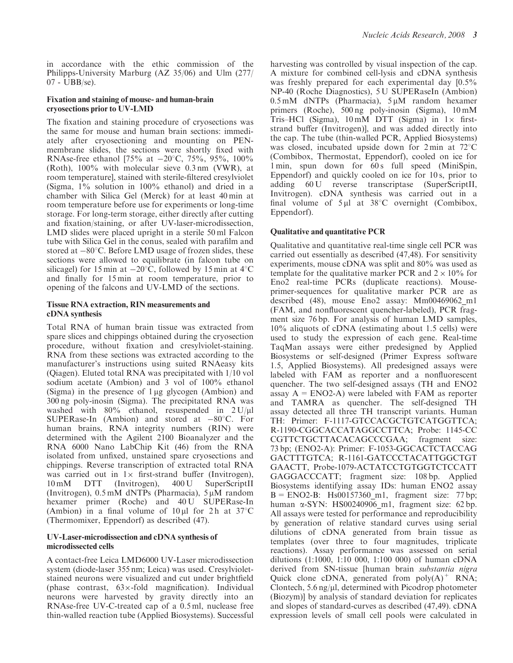in accordance with the ethic commission of the Philipps-University Marburg (AZ 35/06) and Ulm (277/ 07 - UBB/se).

#### Fixation and staining of mouse- and human-brain cryosections prior to UV-LMD

The fixation and staining procedure of cryosections was the same for mouse and human brain sections: immediately after cryosectioning and mounting on PENmembrane slides, the sections were shortly fixed with RNAse-free ethanol [75% at  $-20^{\circ}$ C, 75%, 95%, 100% (Roth), 100% with molecular sieve 0.3 nm (VWR), at room temperature], stained with sterile-filtered cresylviolet (Sigma, 1% solution in 100% ethanol) and dried in a chamber with Silica Gel (Merck) for at least 40 min at room temperature before use for experiments or long-time storage. For long-term storage, either directly after cutting and fixation/staining, or after UV-laser-microdissection, LMD slides were placed upright in a sterile 50 ml Falcon tube with Silica Gel in the conus, sealed with parafilm and stored at  $-80^{\circ}$ C. Before LMD usage of frozen slides, these sections were allowed to equilibrate (in falcon tube on silicagel) for 15 min at  $-20^{\circ}$ C, followed by 15 min at 4 $^{\circ}$ C and finally for 15 min at room temperature, prior to opening of the falcons and UV-LMD of the sections.

## Tissue RNA extraction, RIN measurements and cDNA synthesis

Total RNA of human brain tissue was extracted from spare slices and chippings obtained during the cryosection procedure, without fixation and cresylviolet-staining. RNA from these sections was extracted according to the manufacturer's instructions using suited RNAeasy kits (Qiagen). Eluted total RNA was precipitated with 1/10 vol sodium acetate (Ambion) and 3 vol of 100% ethanol (Sigma) in the presence of  $1 \mu$ g glycogen (Ambion) and 300 ng poly-inosin (Sigma). The precipitated RNA was washed with  $80\%$  ethanol, resuspended in  $2 U/\mu$ l SUPERase-In (Ambion) and stored at  $-80^{\circ}$ C. For human brains, RNA integrity numbers (RIN) were determined with the Agilent 2100 Bioanalyzer and the RNA 6000 Nano LabChip Kit (46) from the RNA isolated from unfixed, unstained spare cryosections and chippings. Reverse transcription of extracted total RNA was carried out in  $1 \times$  first-strand buffer (Invitrogen), 10 mM DTT (Invitrogen), 400 U SuperScriptII (Invitrogen),  $0.5 \text{ mM dNTPs}$  (Pharmacia),  $5 \mu \text{M}$  random hexamer primer (Roche) and  $40 \text{ U}$  SUPERase-In (Ambion) in a final volume of  $10 \mu l$  for 2h at  $37^{\circ}$ C (Thermomixer, Eppendorf) as described (47).

## UV-Laser-microdissection and cDNA synthesis of microdissected cells

A contact-free Leica LMD6000 UV-Laser microdissection system (diode-laser 355 nm; Leica) was used. Cresylvioletstained neurons were visualized and cut under brightfield (phase contrast,  $63 \times$ -fold magnification). Individual neurons were harvested by gravity directly into an RNAse-free UV-C-treated cap of a 0.5 ml, nuclease free thin-walled reaction tube (Applied Biosystems). Successful harvesting was controlled by visual inspection of the cap. A mixture for combined cell-lysis and cDNA synthesis was freshly prepared for each experimental day [0.5% NP-40 (Roche Diagnostics), 5 U SUPERaseIn (Ambion)  $0.5 \text{ mM}$  dNTPs (Pharmacia),  $5 \mu \text{M}$  random hexamer primers (Roche), 500 ng poly-inosin (Sigma), 10 mM Tris–HCl (Sigma),  $10 \text{ mM}$  DTT (Sigma) in  $1 \times$  firststrand buffer (Invitrogen)], and was added directly into the cap. The tube (thin-walled PCR, Applied Biosystems) was closed, incubated upside down for  $2 \text{ min}$  at  $72^{\circ} \text{C}$ (Combibox, Thermostat, Eppendorf), cooled on ice for 1 min, spun down for 60 s full speed (MiniSpin, Eppendorf) and quickly cooled on ice for 10 s, prior to adding 60 U reverse transcriptase (SuperScriptII, Invitrogen). cDNA synthesis was carried out in a final volume of  $5 \mu l$  at  $38^{\circ}$ C overnight (Combibox, Eppendorf).

# Qualitative and quantitative PCR

Qualitative and quantitative real-time single cell PCR was carried out essentially as described (47,48). For sensitivity experiments, mouse cDNA was split and 80% was used as template for the qualitative marker PCR and  $2 \times 10\%$  for Eno2 real-time PCRs (duplicate reactions). Mouseprimer-sequences for qualitative marker PCR are as described (48), mouse Eno2 assay: Mm00469062\_m1 (FAM, and nonfluorescent quencher-labeled), PCR fragment size 76 bp. For analysis of human LMD samples, 10% aliquots of cDNA (estimating about 1.5 cells) were used to study the expression of each gene. Real-time TaqMan assays were either predesigned by Applied Biosystems or self-designed (Primer Express software 1.5, Applied Biosystems). All predesigned assays were labeled with FAM as reporter and a nonfluorescent quencher. The two self-designed assays (TH and ENO2 assay  $A = ENO2-A$ ) were labeled with FAM as reporter and TAMRA as quencher. The self-designed TH assay detected all three TH transcript variants. Human TH: Primer: F-1117-GTCCACGCTGTCATGGTTCA; R-1190-CGGCACCATAGGCCTTCA; Probe: 1145-CC CGTTCTGCTTACACAGCCCGAA; fragment size: 73 bp; (ENO2-A): Primer: F-1053-GGCACTCTACCAG GACTTTGTCA; R-1161-GATCCCTACATTGGCTGT GAACTT, Probe-1079-ACTATCCTGTGGTCTCCATT GAGGACCCATT; fragment size: 108 bp. Applied Biosystems identifying assay IDs: human ENO2 assay  $B = ENO2-B$ : Hs00157360 m1, fragment size: 77 bp; human  $\alpha$ -SYN: HS00240906 m1, fragment size: 62 bp. All assays were tested for performance and reproducibility by generation of relative standard curves using serial dilutions of cDNA generated from brain tissue as templates (over three to four magnitudes, triplicate reactions). Assay performance was assessed on serial dilutions (1:1000, 1:10 000, 1:100 000) of human cDNA derived from SN-tissue [human brain substantia nigra Quick clone cDNA, generated from  $poly(A)^+$  RNA; Clontech,  $5.6 \text{ ng}/\mu l$ , determined with Picodrop photometer (Biozym)] by analysis of standard deviation for replicates and slopes of standard-curves as described (47,49). cDNA expression levels of small cell pools were calculated in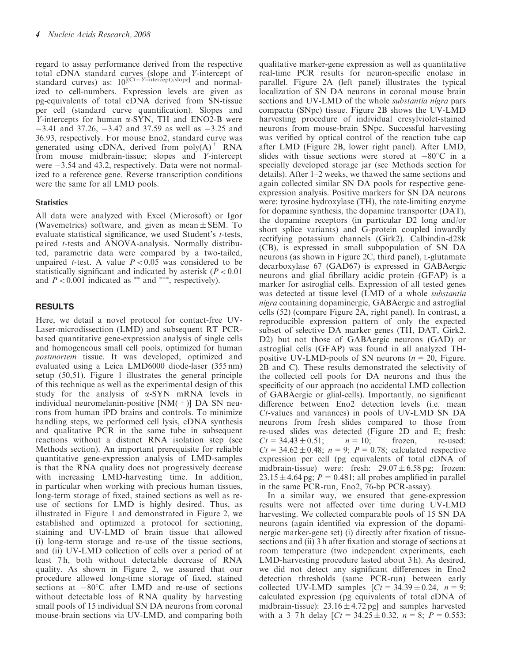regard to assay performance derived from the respective total cDNA standard curves (slope and Y-intercept of standard curves) as:  $10^{[(Ct - Y - intercept)/slope]}$  and normalized to cell-numbers. Expression levels are given as pg-equivalents of total cDNA derived from SN-tissue per cell (standard curve quantification). Slopes and Y-intercepts for human  $\alpha$ -SYN, TH and ENO2-B were  $-3.41$  and 37.26,  $-3.47$  and 37.59 as well as  $-3.25$  and 36.93, respectively. For mouse Eno2, standard curve was generated using cDNA, derived from  $poly(A)^+$  RNA from mouse midbrain-tissue; slopes and Y-intercept were  $-3.54$  and 43.2, respectively. Data were not normalized to a reference gene. Reverse transcription conditions were the same for all LMD pools.

# **Statistics**

All data were analyzed with Excel (Microsoft) or Igor (Wavemetrics) software, and given as mean  $\pm$  SEM. To evaluate statistical significance, we used Student's *t*-tests, paired t-tests and ANOVA-analysis. Normally distributed, parametric data were compared by a two-tailed, unpaired *t*-test. A value  $P < 0.05$  was considered to be statistically significant and indicated by asterisk  $(P < 0.01)$ and  $P < 0.001$  indicated as \*\* and \*\*\*, respectively).

# RESULTS

Here, we detail a novel protocol for contact-free UV-Laser-microdissection (LMD) and subsequent RT–PCRbased quantitative gene-expression analysis of single cells and homogeneous small cell pools, optimized for human postmortem tissue. It was developed, optimized and evaluated using a Leica LMD6000 diode-laser (355 nm) setup (50,51). Figure 1 illustrates the general principle of this technique as well as the experimental design of this study for the analysis of  $\alpha$ -SYN mRNA levels in individual neuromelanin-positive  $[NM(+)]$  DA SN neurons from human iPD brains and controls. To minimize handling steps, we performed cell lysis, cDNA synthesis and qualitative PCR in the same tube in subsequent reactions without a distinct RNA isolation step (see Methods section). An important prerequisite for reliable quantitative gene-expression analysis of LMD-samples is that the RNA quality does not progressively decrease with increasing LMD-harvesting time. In addition, in particular when working with precious human tissues, long-term storage of fixed, stained sections as well as reuse of sections for LMD is highly desired. Thus, as illustrated in Figure 1 and demonstrated in Figure 2, we established and optimized a protocol for sectioning, staining and UV-LMD of brain tissue that allowed (i) long-term storage and re-use of the tissue sections, and (ii) UV-LMD collection of cells over a period of at least 7h, both without detectable decrease of RNA quality. As shown in Figure 2, we assured that our procedure allowed long-time storage of fixed, stained sections at  $-80^{\circ}$ C after LMD and re-use of sections without detectable loss of RNA quality by harvesting small pools of 15 individual SN DA neurons from coronal mouse-brain sections via UV-LMD, and comparing both

qualitative marker-gene expression as well as quantitative real-time PCR results for neuron-specific enolase in parallel. Figure 2A (left panel) illustrates the typical localization of SN DA neurons in coronal mouse brain sections and UV-LMD of the whole substantia nigra pars compacta (SNpc) tissue. Figure 2B shows the UV-LMD harvesting procedure of individual cresylviolet-stained neurons from mouse-brain SNpc. Successful harvesting was verified by optical control of the reaction tube cap after LMD (Figure 2B, lower right panel). After LMD, slides with tissue sections were stored at  $-80^{\circ}$ C in a specially developed storage jar (see Methods section for details). After 1–2 weeks, we thawed the same sections and again collected similar SN DA pools for respective geneexpression analysis. Positive markers for SN DA neurons were: tyrosine hydroxylase (TH), the rate-limiting enzyme for dopamine synthesis, the dopamine transporter (DAT), the dopamine receptors (in particular D2 long and/or short splice variants) and G-protein coupled inwardly rectifying potassium channels (Girk2). Calbindin-d28k (CB), is expressed in small subpopulation of SN DA neurons (as shown in Figure 2C, third panel), L-glutamate decarboxylase 67 (GAD67) is expressed in GABAergic neurons and glial fibrillary acidic protein (GFAP) is a marker for astroglial cells. Expression of all tested genes was detected at tissue level (LMD of a whole *substantia* nigra containing dopaminergic, GABAergic and astroglial cells (52) (compare Figure 2A, right panel). In contrast, a reproducible expression pattern of only the expected subset of selective DA marker genes (TH, DAT, Girk2, D2) but not those of GABAergic neurons (GAD) or astroglial cells (GFAP) was found in all analyzed THpositive UV-LMD-pools of SN neurons  $(n = 20, \text{ Figure})$ . 2B and C). These results demonstrated the selectivity of the collected cell pools for DA neurons and thus the specificity of our approach (no accidental LMD collection of GABAergic or glial-cells). Importantly, no significant difference between Eno2 detection levels (i.e. mean Ct-values and variances) in pools of UV-LMD SN DA neurons from fresh slides compared to those from re-used slides was detected (Figure 2D and E; fresh:  $Ct = 34.43 \pm 0.51;$   $n = 10;$  frozen, re-used:  $Ct = 34.62 \pm 0.48$ ;  $n = 9$ ;  $P = 0.78$ ; calculated respective expression per cell (pg equivalents of total cDNA of midbrain-tissue) were: fresh:  $29.07 \pm 6.58$  pg; frozen:  $23.15 \pm 4.64$  pg;  $P = 0.481$ ; all probes amplified in parallel in the same PCR-run, Eno2, 76-bp PCR-assay).

In a similar way, we ensured that gene-expression results were not affected over time during UV-LMD harvesting. We collected comparable pools of 15 SN DA neurons (again identified via expression of the dopaminergic marker-gene set) (i) directly after fixation of tissuesections and (ii) 3 h after fixation and storage of sections at room temperature (two independent experiments, each LMD-harvesting procedure lasted about 3 h). As desired, we did not detect any significant differences in Eno2 detection thresholds (same PCR-run) between early collected UV-LMD samples  $[*Ct* = 34.39 \pm 0.24, n = 9;$ calculated expression (pg equivalents of total cDNA of midbrain-tissue):  $23.16 \pm 4.72$  pg] and samples harvested with a 3–7h delay  $\left[ Ct = 34.25 \pm 0.32, n = 8; P = 0.553; \right]$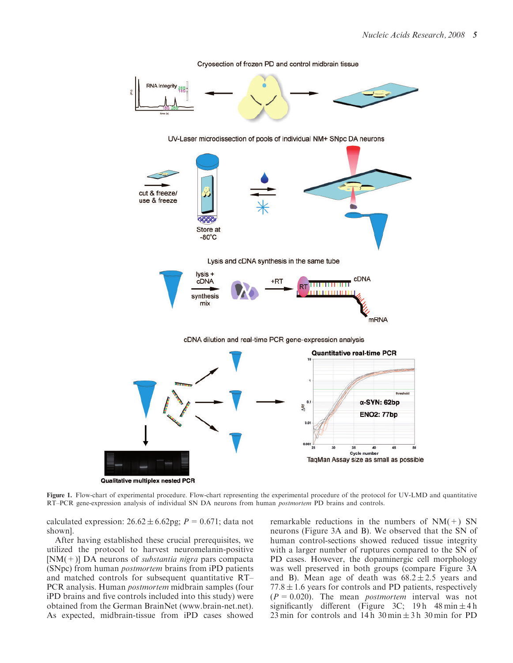

Cryosection of frozen PD and control midbrain tissue

Figure 1. Flow-chart of experimental procedure. Flow-chart representing the experimental procedure of the protocol for UV-LMD and quantitative RT–PCR gene-expression analysis of individual SN DA neurons from human postmortem PD brains and controls.

calculated expression:  $26.62 \pm 6.62$ pg;  $P = 0.671$ ; data not shown].

After having established these crucial prerequisites, we utilized the protocol to harvest neuromelanin-positive  $[NM(+)]$  DA neurons of *substantia nigra* pars compacta (SNpc) from human postmortem brains from iPD patients and matched controls for subsequent quantitative RT– PCR analysis. Human postmortem midbrain samples (four iPD brains and five controls included into this study) were obtained from the German BrainNet (www.brain-net.net). As expected, midbrain-tissue from iPD cases showed

remarkable reductions in the numbers of  $NM(+)$  SN neurons (Figure 3A and B). We observed that the SN of human control-sections showed reduced tissue integrity with a larger number of ruptures compared to the SN of PD cases. However, the dopaminergic cell morphology was well preserved in both groups (compare Figure 3A and B). Mean age of death was  $68.2 \pm 2.5$  years and  $77.8 \pm 1.6$  years for controls and PD patients, respectively  $(P = 0.020)$ . The mean *postmortem* interval was not significantly different (Figure 3C; 19 h  $48 \text{ min} \pm 4 \text{ h}$ 23 min for controls and 14 h  $30 \text{ min} \pm 3 \text{ h}$  30 min for PD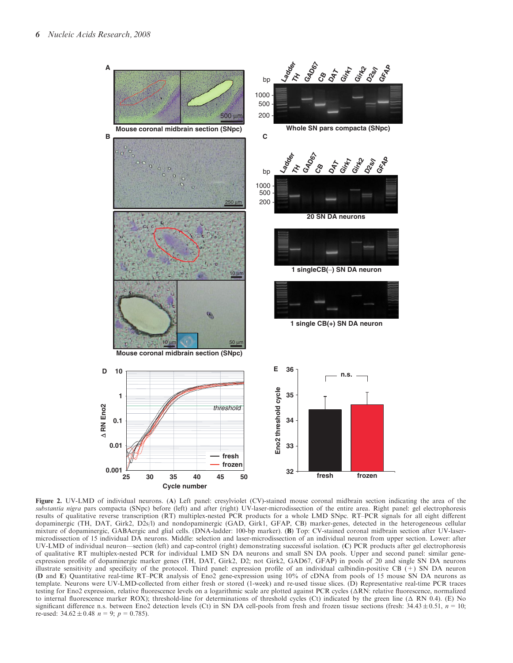

Figure 2. UV-LMD of individual neurons. (A) Left panel: cresylviolet (CV)-stained mouse coronal midbrain section indicating the area of the substantia nigra pars compacta (SNpc) before (left) and after (right) UV-laser-microdissection of the entire area. Right panel: gel electrophoresis results of qualitative reverse transcription (RT) multiplex-nested PCR products for a whole LMD SNpc. RT–PCR signals for all eight different dopaminergic (TH, DAT, Girk2, D2s/l) and nondopaminergic (GAD, Girk1, GFAP, CB) marker-genes, detected in the heterogeneous cellular mixture of dopaminergic, GABAergic and glial cells. (DNA-ladder: 100-bp marker). (B) Top: CV-stained coronal midbrain section after UV-lasermicrodissection of 15 individual DA neurons. Middle: selection and laser-microdissection of an individual neuron from upper section. Lower: after UV-LMD of individual neuron—section (left) and cap-control (right) demonstrating successful isolation. (C) PCR products after gel electrophoresis of qualitative RT multiplex-nested PCR for individual LMD SN DA neurons and small SN DA pools. Upper and second panel: similar geneexpression profile of dopaminergic marker genes (TH, DAT, Girk2, D2; not Girk2, GAD67, GFAP) in pools of 20 and single SN DA neurons illustrate sensitivity and specificity of the protocol. Third panel: expression profile of an individual calbindin-positive CB  $(+)$  SN DA neuron (D and E) Quantitative real-time RT–PCR analysis of Eno2 gene-expression using 10% of cDNA from pools of 15 mouse SN DA neurons as template. Neurons were UV-LMD-collected from either fresh or stored (1-week) and re-used tissue slices. (D) Representative real-time PCR traces testing for Eno2 expression, relative fluorescence levels on a logarithmic scale are plotted against PCR cycles  $(\Delta RN:$  relative fluorescence, normalized to internal fluorescence marker ROX); threshold-line for determinations of threshold cycles (Ct) indicated by the green line  $( \Delta \ R N 0.4)$ . (E) No significant difference n.s. between Eno2 detection levels (Ct) in SN DA cell-pools from fresh and frozen tissue sections (fresh:  $34.43 \pm 0.51$ ,  $n = 10$ ; re-used:  $34.62 \pm 0.48$   $n = 9$ ;  $p = 0.785$ ).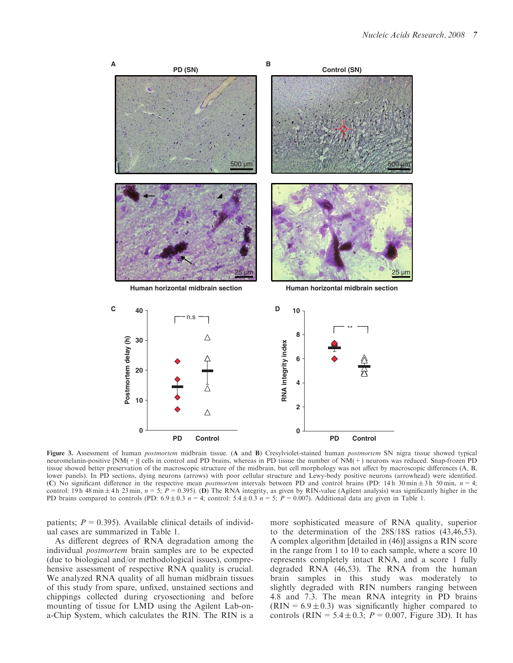

Figure 3. Assessment of human *postmortem* midbrain tissue. (A and B) Cresylviolet-stained human *postmortem* SN nigra tissue showed typical neuromelanin-positive [NM(+)] cells in control and PD brains, whereas in PD tissue the number of NM(+) neurons was reduced. Snap-frozen PD tissue showed better preservation of the macroscopic structure of the midbrain, but cell morphology was not affect by macroscopic differences (A, B, lower panels). In PD sections, dying neurons (arrows) with poor cellular structure and Lewy-body positive neurons (arrowhead) were identified. (C) No significant difference in the respective mean *postmortem* intervals between PD and control brains (PD: 14 h 30 min  $\pm$  3 h 50 min, n = 4; control: 19 h 48 min  $\pm$  4 h 23 min,  $n = 5$ ;  $P = 0.395$ ). (D) The RNA integrity, as given by RIN-value (Agilent analysis) was significantly higher in the PD brains compared to controls (PD:  $6.9 \pm 0.3$   $n = 4$ ; control:  $5.4 \pm 0.3$   $n = 5$ ;  $P = 0.007$ ). Additional data are given in Table 1.

patients;  $P = 0.395$ ). Available clinical details of individual cases are summarized in Table 1.

As different degrees of RNA degradation among the individual postmortem brain samples are to be expected (due to biological and/or methodological issues), comprehensive assessment of respective RNA quality is crucial. We analyzed RNA quality of all human midbrain tissues of this study from spare, unfixed, unstained sections and chippings collected during cryosectioning and before mounting of tissue for LMD using the Agilent Lab-ona-Chip System, which calculates the RIN. The RIN is a more sophisticated measure of RNA quality, superior to the determination of the 28S/18S ratios (43,46,53). A complex algorithm [detailed in (46)] assigns a RIN score in the range from 1 to 10 to each sample, where a score 10 represents completely intact RNA, and a score 1 fully degraded RNA (46,53). The RNA from the human brain samples in this study was moderately to slightly degraded with RIN numbers ranging between 4.8 and 7.3. The mean RNA integrity in PD brains  $(RIN = 6.9 \pm 0.3)$  was significantly higher compared to controls (RIN =  $5.4 \pm 0.3$ ;  $P = 0.007$ , Figure 3D). It has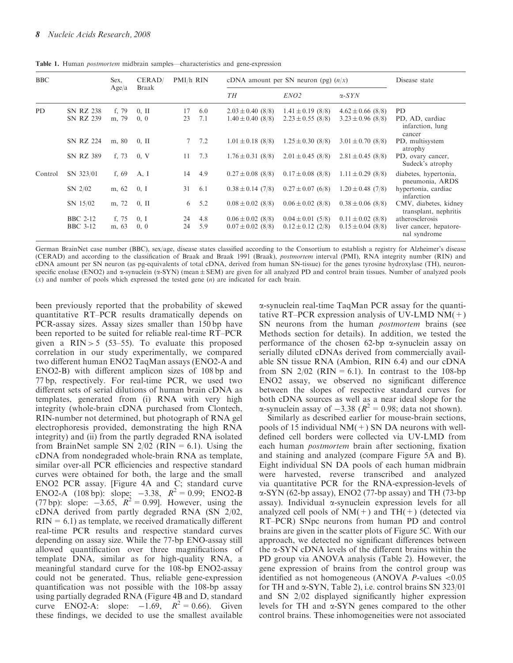| <b>BBC</b> |                  | Sex.    | CERAD/   | PMI/h RIN   |     | cDNA amount per SN neuron (pg) $(n/x)$ | Disease state         |                       |                                                |
|------------|------------------|---------|----------|-------------|-----|----------------------------------------|-----------------------|-----------------------|------------------------------------------------|
|            |                  | Age/a   | Braak    |             |     | TH                                     | ENO <sub>2</sub>      | $\alpha$ -SYN         |                                                |
| <b>PD</b>  | <b>SN RZ 238</b> | f, 79   | $0, \Pi$ | 17          | 6.0 | $2.03 \pm 0.40$ (8/8)                  | $1.41 \pm 0.19$ (8/8) | $4.62 \pm 0.66$ (8/8) | PD.                                            |
|            | <b>SN RZ 239</b> | m, 79   | 0, 0     | 23          | 7.1 | $1.40 \pm 0.40$ (8/8)                  | $2.23 \pm 0.55$ (8/8) | $3.23 \pm 0.96$ (8/8) | PD, AD, cardiac<br>infarction, lung<br>cancer  |
|            | <b>SN RZ 224</b> | m, 80   | $0, \Pi$ | $7^{\circ}$ | 7.2 | $1.01 \pm 0.18$ (8/8)                  | $1.25 \pm 0.30$ (8/8) | $3.01 \pm 0.70$ (8/8) | PD, multisystem<br>atrophy                     |
|            | <b>SN RZ 389</b> | f, 73   | 0, V     | 11          | 7.3 | $1.76 \pm 0.31$ (8/8)                  | $2.01 \pm 0.45$ (8/8) | $2.81 \pm 0.45$ (8/8) | PD, ovary cancer,<br>Sudeck's atrophy          |
| Control    | SN 323/01        | f, $69$ | A, I     | 14          | 4.9 | $0.27 \pm 0.08$ (8/8)                  | $0.17 \pm 0.08$ (8/8) | $1.11 \pm 0.29$ (8/8) | diabetes, hypertonia,<br>pneumonia, ARDS       |
|            | $SN$ 2/02        | m, 62   | 0, I     | 31          | 6.1 | $0.38 \pm 0.14$ (7/8)                  | $0.27 \pm 0.07$ (6/8) | $1.20 \pm 0.48$ (7/8) | hypertonia, cardiac<br>infarction              |
|            | SN 15/02         | m, 72   | $0, \Pi$ | 6           | 5.2 | $0.08 \pm 0.02$ (8/8)                  | $0.06 \pm 0.02$ (8/8) | $0.38 \pm 0.06$ (8/8) | CMV, diabetes, kidney<br>transplant, nephritis |
|            | <b>BBC 2-12</b>  | f, 75   | 0, I     | 24          | 4.8 | $0.06 \pm 0.02$ (8/8)                  | $0.04 \pm 0.01$ (5/8) | $0.11 \pm 0.02$ (8/8) | atherosclerosis                                |
|            | <b>BBC</b> 3-12  | m, 63   | 0, 0     | 24          | 5.9 | $0.07 \pm 0.02$ (8/8)                  | $0.12 \pm 0.12$ (2/8) | $0.15 \pm 0.04$ (8/8) | liver cancer, hepatore-<br>nal syndrome        |

Table 1. Human postmortem midbrain samples—characteristics and gene-expression

German BrainNet case number (BBC), sex/age, disease states classified according to the Consortium to establish a registry for Alzheimer's disease (CERAD) and according to the classification of Braak and Braak 1991 (Braak), postmortem interval (PMI), RNA integrity number (RIN) and cDNA amount per SN neuron (as pg-equivalents of total cDNA, derived from human SN-tissue) for the genes tyrosine hydroxylase (TH), neuronspecific enolase (ENO2) and  $\alpha$ -synuclein  $(\alpha$ -SYN) (mean  $\pm$  SEM) are given for all analyzed PD and control brain tissues. Number of analyzed pools  $(x)$  and number of pools which expressed the tested gene  $(n)$  are indicated for each brain.

been previously reported that the probability of skewed quantitative RT–PCR results dramatically depends on PCR-assay sizes. Assay sizes smaller than 150 bp have been reported to be suited for reliable real-time RT–PCR given a  $\text{RIN} > 5$  (53–55). To evaluate this proposed correlation in our study experimentally, we compared two different human ENO2 TaqMan assays (ENO2-A and ENO2-B) with different amplicon sizes of 108 bp and 77 bp, respectively. For real-time PCR, we used two different sets of serial dilutions of human brain cDNA as templates, generated from (i) RNA with very high integrity (whole-brain cDNA purchased from Clontech, RIN-number not determined, but photograph of RNA gel electrophoresis provided, demonstrating the high RNA integrity) and (ii) from the partly degraded RNA isolated from BrainNet sample SN  $2/02$  (RIN = 6.1). Using the cDNA from nondegraded whole-brain RNA as template, similar over-all PCR efficiencies and respective standard curves were obtained for both, the large and the small ENO2 PCR assay. [Figure 4A and C; standard curve ENO2-A (108 bp): slope:  $-3.38$ ,  $R^2 = 0.99$ ; ENO2-B (77 bp): slope:  $-3.65$ ,  $R^2 = 0.99$ ]. However, using the cDNA derived from partly degraded RNA (SN 2/02,  $RIN = 6.1$ ) as template, we received dramatically different real-time PCR results and respective standard curves depending on assay size. While the 77-bp ENO-assay still allowed quantification over three magnifications of template DNA, similar as for high-quality RNA, a meaningful standard curve for the 108-bp ENO2-assay could not be generated. Thus, reliable gene-expression quantification was not possible with the 108-bp assay using partially degraded RNA (Figure 4B and D, standard curve ENO2-A: slope:  $-1.69$ ,  $R^2 = 0.66$ ). Given these findings, we decided to use the smallest available

a-synuclein real-time TaqMan PCR assay for the quantitative RT–PCR expression analysis of UV-LMD NM $(+)$ SN neurons from the human *postmortem* brains (see Methods section for details). In addition, we tested the performance of the chosen  $62$ -bp  $\alpha$ -synuclein assay on serially diluted cDNAs derived from commercially available SN tissue RNA (Ambion, RIN 6.4) and our cDNA from SN  $2/02$  (RIN = 6.1). In contrast to the 108-bp ENO2 assay, we observed no significant difference between the slopes of respective standard curves for both cDNA sources as well as a near ideal slope for the  $\alpha$ -synuclein assay of  $-3.38$  ( $R^2 = 0.98$ ; data not shown).

Similarly as described earlier for mouse-brain sections, pools of 15 individual  $NM(+)$  SN DA neurons with welldefined cell borders were collected via UV-LMD from each human postmortem brain after sectioning, fixation and staining and analyzed (compare Figure 5A and B). Eight individual SN DA pools of each human midbrain were harvested, reverse transcribed and analyzed via quantitative PCR for the RNA-expression-levels of a-SYN (62-bp assay), ENO2 (77-bp assay) and TH (73-bp assay). Individual  $\alpha$ -synuclein expression levels for all analyzed cell pools of  $NM(+)$  and  $TH(+)$  (detected via RT–PCR) SNpc neurons from human PD and control brains are given in the scatter plots of Figure 5C. With our approach, we detected no significant differences between the  $\alpha$ -SYN cDNA levels of the different brains within the PD group via ANOVA analysis (Table 2). However, the gene expression of brains from the control group was identified as not homogeneous (ANOVA  $P$ -values <0.05 for TH and  $\alpha$ -SYN, Table 2), i.e. control brains SN 323/01 and SN 2/02 displayed significantly higher expression levels for TH and  $\alpha$ -SYN genes compared to the other control brains. These inhomogeneities were not associated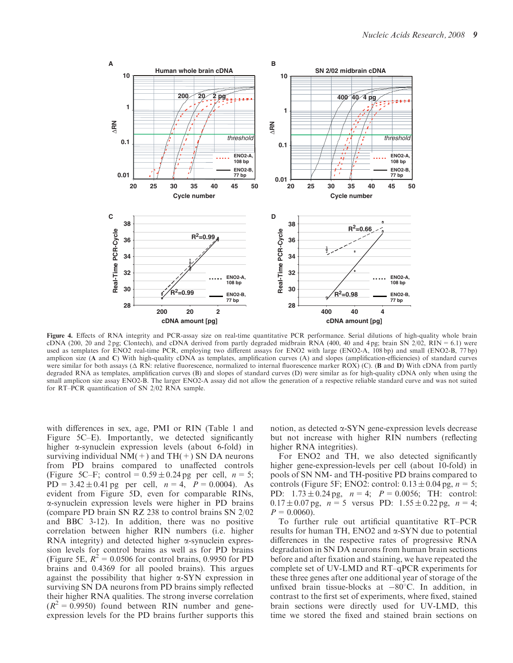

Figure 4. Effects of RNA integrity and PCR-assay size on real-time quantitative PCR performance. Serial dilutions of high-quality whole brain cDNA (200, 20 and 2 pg; Clontech), and cDNA derived from partly degraded midbrain RNA (400, 40 and 4 pg; brain SN  $2/02$ , RIN = 6.1) were used as templates for ENO2 real-time PCR, employing two different assays for ENO2 with large (ENO2-A, 108 bp) and small (ENO2-B, 77 bp) amplicon size (A and C) With high-quality cDNA as templates, amplification curves (A) and slopes (amplification-efficiencies) of standard curves were similar for both assays ( $\Delta$  RN: relative fluorescence, normalized to internal fluorescence marker ROX) (C). (**B** and **D**) With cDNA from partly degraded RNA as templates, amplification curves (B) and slopes of standard curves (D) were similar as for high-quality cDNA only when using the small amplicon size assay ENO2-B. The larger ENO2-A assay did not allow the generation of a respective reliable standard curve and was not suited for RT–PCR quantification of SN 2/02 RNA sample.

with differences in sex, age, PMI or RIN (Table 1 and Figure 5C–E). Importantly, we detected significantly higher a-synuclein expression levels (about 6-fold) in surviving individual  $NM(+)$  and  $TH(+)$  SN DA neurons from PD brains compared to unaffected controls (Figure 5C–F; control =  $0.59 \pm 0.24$  pg per cell,  $n = 5$ ;  $PD = 3.42 \pm 0.41$  pg per cell,  $n = 4$ ,  $P = 0.0004$ . As evident from Figure 5D, even for comparable RINs, a-synuclein expression levels were higher in PD brains (compare PD brain SN RZ 238 to control brains SN 2/02 and BBC 3-12). In addition, there was no positive correlation between higher RIN numbers (i.e. higher RNA integrity) and detected higher  $\alpha$ -synuclein expression levels for control brains as well as for PD brains (Figure 5E,  $R^2 = 0.0506$  for control brains, 0.9950 for PD brains and 0.4369 for all pooled brains). This argues against the possibility that higher  $\alpha$ -SYN expression in surviving SN DA neurons from PD brains simply reflected their higher RNA qualities. The strong inverse correlation  $(R^2 = 0.9950)$  found between RIN number and geneexpression levels for the PD brains further supports this

notion, as detected  $\alpha$ -SYN gene-expression levels decrease but not increase with higher RIN numbers (reflecting higher RNA integrities).

For ENO2 and TH, we also detected significantly higher gene-expression-levels per cell (about 10-fold) in pools of SN NM- and TH-positive PD brains compared to controls (Figure 5F; ENO2: control:  $0.13 \pm 0.04$  pg,  $n = 5$ ; PD:  $1.73 \pm 0.24$  pg,  $n = 4$ ;  $P = 0.0056$ ; TH: control:  $0.17 \pm 0.07$  pg,  $n = 5$  versus PD:  $1.55 \pm 0.22$  pg,  $n = 4$ ;  $P = 0.0060$ .

To further rule out artificial quantitative RT–PCR results for human TH, ENO2 and  $\alpha$ -SYN due to potential differences in the respective rates of progressive RNA degradation in SN DA neurons from human brain sections before and after fixation and staining, we have repeated the complete set of UV-LMD and RT–qPCR experiments for these three genes after one additional year of storage of the unfixed brain tissue-blocks at  $-80^{\circ}$ C. In addition, in contrast to the first set of experiments, where fixed, stained brain sections were directly used for UV-LMD, this time we stored the fixed and stained brain sections on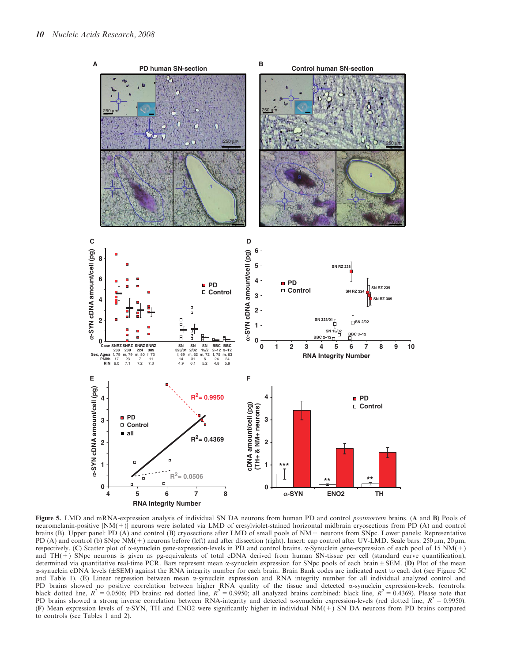

Figure 5. LMD and mRNA-expression analysis of individual SN DA neurons from human PD and control *postmortem* brains. (A and B) Pools of neuromelanin-positive [NM(+)] neurons were isolated via LMD of cresylviolet-stained horizontal midbrain cryosections from PD (A) and control brains (B). Upper panel: PD (A) and control (B) cryosections after LMD of small pools of NM+ neurons from SNpc. Lower panels: Representative PD (A) and control (b) SNpc NM(+) neurons before (left) and after dissection (right). Insert: cap control after UV-LMD. Scale bars: 250  $\mu$ m, 20  $\mu$ m, respectively. (C) Scatter plot of a-synuclein gene-expression-levels in PD and control brains. a-Synuclein gene-expression of each pool of 15 NM(+) and TH(+) SNpc neurons is given as pg-equivalents of total cDNA derived from human SN-tissue per cell (standard curve quantification), determined via quantitative real-time PCR. Bars represent mean  $\alpha$ -synuclein expression for SNpc pools of each brain  $\pm$  SEM. (D) Plot of the mean  $\alpha$ -synuclein cDNA levels (±SEM) against the RNA integrity number for each brain. Brain Bank codes are indicated next to each dot (see Figure 5C) and Table 1). (E) Linear regression between mean  $\alpha$ -synuclein expression and RNA integrity number for all individual analyzed control and PD brains showed no positive correlation between higher RNA quality of the tissue and detected  $\alpha$ -synuclein expression-levels. (controls: black dotted line,  $R^2 = 0.0506$ ; PD brains: red dotted line,  $R^2 = 0.9950$ ; all analyzed brains combined: black line,  $R^2 = 0.4369$ ). Please note that PD brains showed a strong inverse correlation between RNA-integrity and detected  $\alpha$ -synuclein expression-levels (red dotted line,  $R^2 = 0.9950$ ). (F) Mean expression levels of  $\alpha$ -SYN, TH and ENO2 were significantly higher in individual NM(+) SN DA neurons from PD brains compared to controls (see Tables 1 and 2).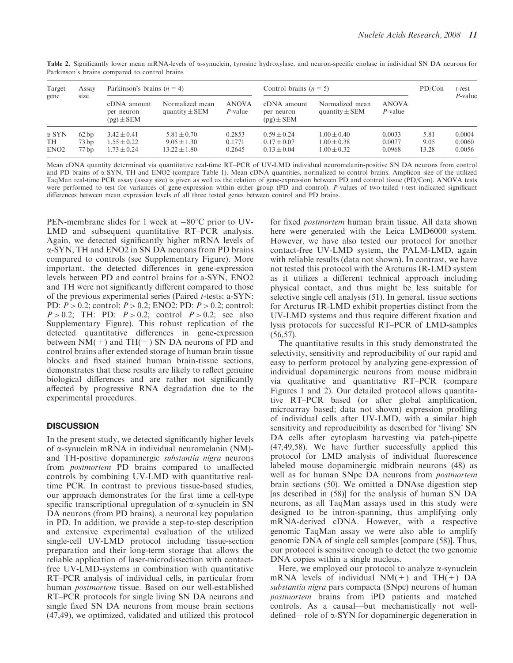| Target<br>gene                          | Assay<br>size        | Parkinson's brains $(n = 4)$                          |                                                        |                            | Control brains $(n = 5)$                              | PD/Con                                                | $t$ -test<br>$P$ -value    |                       |                            |
|-----------------------------------------|----------------------|-------------------------------------------------------|--------------------------------------------------------|----------------------------|-------------------------------------------------------|-------------------------------------------------------|----------------------------|-----------------------|----------------------------|
|                                         |                      | cDNA amount<br>per neuron<br>$(pg) \pm SEM$           | Normalized mean<br>quantity $\pm$ SEM                  | <b>ANOVA</b><br>$P$ -value | cDNA amount<br>per neuron<br>$(pg) \pm SEM$           | Normalized mean<br>quantity $\pm$ SEM                 | <b>ANOVA</b><br>$P$ -value |                       |                            |
| $\alpha$ -SYN<br>TH<br>EN <sub>O2</sub> | 62bp<br>73bp<br>77bp | $3.42 \pm 0.41$<br>$1.55 \pm 0.22$<br>$1.73 \pm 0.24$ | $5.81 \pm 0.70$<br>$9.05 \pm 1.30$<br>$13.22 \pm 1.80$ | 0.2853<br>0.1771<br>0.2645 | $0.59 \pm 0.24$<br>$0.17 \pm 0.07$<br>$0.13 \pm 0.04$ | $1.00 \pm 0.40$<br>$1.00 \pm 0.38$<br>$1.00 \pm 0.32$ | 0.0033<br>0.0077<br>0.0968 | 5.81<br>9.05<br>13.28 | 0.0004<br>0.0060<br>0.0056 |

Table 2. Significantly lower mean mRNA-levels of  $\alpha$ -synuclein, tyrosine hydroxylase, and neuron-specific enolase in individual SN DA neurons for Parkinson's brains compared to control brains

Mean cDNA quantity determined via quantitative real-time RT–PCR of UV-LMD individual neuromelanin-positive SN DA neurons from control and PD brains of  $\alpha$ -SYN, TH and ENO2 (compare Table 1). Mean cDNA quantities, normalized to control brains. Amplicon size of the utilized TaqMan real-time PCR assay (assay size) is given as well as the relation of gene-expression between PD and control tissue (PD/Con). ANOVA tests were performed to test for variances of gene-expression within either group (PD and control). P-values of two-tailed t-test indicated significant differences between mean expression levels of all three tested genes between control and PD brains.

PEN-membrane slides for 1 week at  $-80^{\circ}$ C prior to UV-LMD and subsequent quantitative RT–PCR analysis. Again, we detected significantly higher mRNA levels of a-SYN, TH and ENO2 in SN DA neurons from PD brains compared to controls (see Supplementary Figure). More important, the detected differences in gene-expression levels between PD and control brains for a-SYN, ENO2 and TH were not significantly different compared to those of the previous experimental series (Paired t-tests: a-SYN: PD: P > 0.2; control: P > 0.2; ENO2: PD: P > 0.2; control:  $P > 0.2$ ; TH: PD:  $P > 0.2$ ; control  $P > 0.2$ ; see also Supplementary Figure). This robust replication of the detected quantitative differences in gene-expression between  $NM(+)$  and TH(+) SN DA neurons of PD and control brains after extended storage of human brain tissue blocks and fixed stained human brain-tissue sections, demonstrates that these results are likely to reflect genuine biological differences and are rather not significantly affected by progressive RNA degradation due to the experimental procedures.

# **DISCUSSION**

In the present study, we detected significantly higher levels of a-synuclein mRNA in individual neuromelanin (NM) and TH-positive dopaminergic substantia nigra neurons from postmortem PD brains compared to unaffected controls by combining UV-LMD with quantitative realtime PCR. In contrast to previous tissue-based studies, our approach demonstrates for the first time a cell-type specific transcriptional upregulation of  $\alpha$ -synuclein in SN DA neurons (from PD brains), a neuronal key population in PD. In addition, we provide a step-to-step description and extensive experimental evaluation of the utilized single-cell UV-LMD protocol including tissue-section preparation and their long-term storage that allows the reliable application of laser-microdissection with contactfree UV-LMD-systems in combination with quantitative RT–PCR analysis of individual cells, in particular from human postmortem tissue. Based on our well-established RT–PCR protocols for single living SN DA neurons and single fixed SN DA neurons from mouse brain sections (47,49), we optimized, validated and utilized this protocol

for fixed postmortem human brain tissue. All data shown here were generated with the Leica LMD6000 system. However, we have also tested our protocol for another contact-free UV-LMD system, the PALM-LMD, again with reliable results (data not shown). In contrast, we have not tested this protocol with the Arcturus IR-LMD system as it utilizes a different technical approach including physical contact, and thus might be less suitable for selective single cell analysis (51). In general, tissue sections for Arcturus IR-LMD exhibit properties distinct from the UV-LMD systems and thus require different fixation and lysis protocols for successful RT–PCR of LMD-samples (56,57).

The quantitative results in this study demonstrated the selectivity, sensitivity and reproducibility of our rapid and easy to perform protocol by analyzing gene-expression of individual dopaminergic neurons from mouse midbrain via qualitative and quantitative RT–PCR (compare Figures 1 and 2). Our detailed protocol allows quantitative RT–PCR based (or after global amplification, microarray based; data not shown) expression profiling of individual cells after UV-LMD, with a similar high sensitivity and reproducibility as described for 'living' SN DA cells after cytoplasm harvesting via patch-pipette (47,49,58). We have further successfully applied this protocol for LMD analysis of individual fluorescence labeled mouse dopaminergic midbrain neurons (48) as well as for human SNpc DA neurons from postmortem brain sections (50). We omitted a DNAse digestion step [as described in (58)] for the analysis of human SN DA neurons, as all TaqMan assays used in this study were designed to be intron-spanning, thus amplifying only mRNA-derived cDNA. However, with a respective genomic TaqMan assay we were also able to amplify genomic DNA of single cell samples [compare (58)]. Thus, our protocol is sensitive enough to detect the two genomic DNA copies within a single nucleus.

Here, we employed our protocol to analyze  $\alpha$ -synuclein mRNA levels of individual NM(+) and TH(+) DA substantia nigra pars compacta (SNpc) neurons of human postmortem brains from iPD patients and matched controls. As a causal—but mechanistically not welldefined—role of a-SYN for dopaminergic degeneration in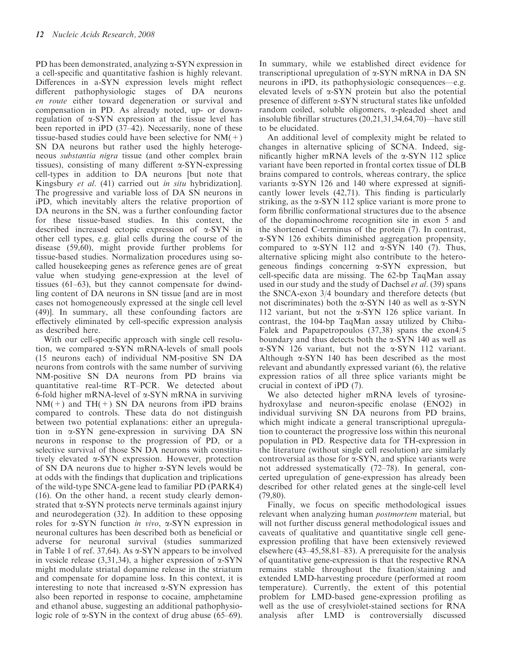PD has been demonstrated, analyzing  $\alpha$ -SYN expression in a cell-specific and quantitative fashion is highly relevant. Differences in a-SYN expression levels might reflect different pathophysiologic stages of DA neurons en route either toward degeneration or survival and compensation in PD. As already noted, up- or downregulation of  $\alpha$ -SYN expression at the tissue level has been reported in iPD (37–42). Necessarily, none of these tissue-based studies could have been selective for  $NM(+)$ SN DA neurons but rather used the highly heterogeneous substantia nigra tissue (and other complex brain tissues), consisting of many different  $\alpha$ -SYN-expressing cell-types in addition to DA neurons [but note that Kingsbury et al. (41) carried out in situ hybridization]. The progressive and variable loss of DA SN neurons in iPD, which inevitably alters the relative proportion of DA neurons in the SN, was a further confounding factor for these tissue-based studies. In this context, the described increased ectopic expression of a-SYN in other cell types, e.g. glial cells during the course of the disease (59,60), might provide further problems for tissue-based studies. Normalization procedures using socalled housekeeping genes as reference genes are of great value when studying gene-expression at the level of tissues (61–63), but they cannot compensate for dwindling content of DA neurons in SN tissue [and are in most cases not homogeneously expressed at the single cell level (49)]. In summary, all these confounding factors are effectively eliminated by cell-specific expression analysis as described here.

With our cell-specific approach with single cell resolution, we compared  $\alpha$ -SYN mRNA-levels of small pools (15 neurons each) of individual NM-positive SN DA neurons from controls with the same number of surviving NM-positive SN DA neurons from PD brains via quantitative real-time RT–PCR. We detected about 6-fold higher mRNA-level of  $\alpha$ -SYN mRNA in surviving  $NM(+)$  and TH(+) SN DA neurons from iPD brains compared to controls. These data do not distinguish between two potential explanations: either an upregulation in a-SYN gene-expression in surviving DA SN neurons in response to the progression of PD, or a selective survival of those SN DA neurons with constitutively elevated a-SYN expression. However, protection of SN DA neurons due to higher  $\alpha$ -SYN levels would be at odds with the findings that duplication and triplications of the wild-type SNCA-gene lead to familiar PD (PARK4) (16). On the other hand, a recent study clearly demonstrated that  $\alpha$ -SYN protects nerve terminals against injury and neurodegeration (32). In addition to these opposing roles for  $\alpha$ -SYN function *in vivo*,  $\alpha$ -SYN expression in neuronal cultures has been described both as beneficial or adverse for neuronal survival (studies summarized in Table 1 of ref. 37,64). As  $\alpha$ -SYN appears to be involved in vesicle release  $(3,31,34)$ , a higher expression of  $\alpha$ -SYN might modulate striatal dopamine release in the striatum and compensate for dopamine loss. In this context, it is interesting to note that increased  $\alpha$ -SYN expression has also been reported in response to cocaine, amphetamine and ethanol abuse, suggesting an additional pathophysiologic role of  $\alpha$ -SYN in the context of drug abuse (65–69).

In summary, while we established direct evidence for transcriptional upregulation of  $\alpha$ -SYN mRNA in DA SN neurons in iPD, its pathophysiologic consequences—e.g. elevated levels of  $\alpha$ -SYN protein but also the potential presence of different a-SYN structural states like unfolded random coiled, soluble oligomers, a-pleaded sheet and insoluble fibrillar structures (20,21,31,34,64,70)—have still to be elucidated.

An additional level of complexity might be related to changes in alternative splicing of SCNA. Indeed, significantly higher mRNA levels of the  $\alpha$ -SYN 112 splice variant have been reported in frontal cortex tissue of DLB brains compared to controls, whereas contrary, the splice variants  $\alpha$ -SYN 126 and 140 where expressed at significantly lower levels (42,71). This finding is particularly striking, as the  $\alpha$ -SYN 112 splice variant is more prone to form fibrillic conformational structures due to the absence of the dopaminochrome recognition site in exon 5 and the shortened C-terminus of the protein (7). In contrast, a-SYN 126 exhibits diminished aggregation propensity, compared to  $\alpha$ -SYN 112 and  $\alpha$ -SYN 140 (7). Thus, alternative splicing might also contribute to the heterogeneous findings concerning  $\alpha$ -SYN expression, but cell-specific data are missing. The 62-bp TaqMan assay used in our study and the study of Dachsel *et al.* (39) spans the SNCA-exon 3/4 boundary and therefore detects (but not discriminates) both the  $\alpha$ -SYN 140 as well as  $\alpha$ -SYN 112 variant, but not the a-SYN 126 splice variant. In contrast, the 104-bp TaqMan assay utilized by Chiba-Falek and Papapetropoulos (37,38) spans the exon4/5 boundary and thus detects both the  $\alpha$ -SYN 140 as well as a-SYN 126 variant, but not the a-SYN 112 variant. Although  $\alpha$ -SYN 140 has been described as the most relevant and abundantly expressed variant (6), the relative expression ratios of all three splice variants might be crucial in context of iPD (7).

We also detected higher mRNA levels of tyrosinehydroxylase and neuron-specific enolase (ENO2) in individual surviving SN DA neurons from PD brains, which might indicate a general transcriptional upregulation to counteract the progressive loss within this neuronal population in PD. Respective data for TH-expression in the literature (without single cell resolution) are similarly controversial as those for  $\alpha$ -SYN, and splice variants were not addressed systematically (72–78). In general, concerted upregulation of gene-expression has already been described for other related genes at the single-cell level (79,80).

Finally, we focus on specific methodological issues relevant when analyzing human postmortem material, but will not further discuss general methodological issues and caveats of qualitative and quantitative single cell geneexpression profiling that have been extensively reviewed elsewhere (43–45,58,81–83). A prerequisite for the analysis of quantitative gene-expression is that the respective RNA remains stable throughout the fixation/staining and extended LMD-harvesting procedure (performed at room temperature). Currently, the extent of this potential problem for LMD-based gene-expression profiling as well as the use of cresylviolet-stained sections for RNA analysis after LMD is controversially discussed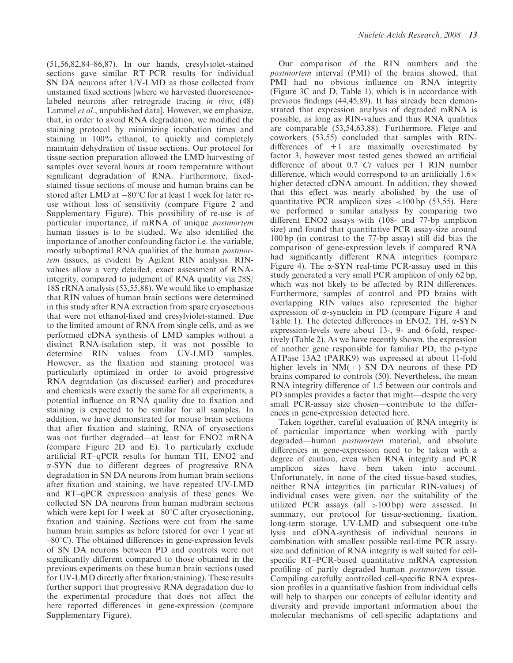(51,56,82,84–86,87). In our hands, cresylviolet-stained sections gave similar RT–PCR results for individual SN DA neurons after UV-LMD as those collected from unstained fixed sections [where we harvested fluorescencelabeled neurons after retrograde tracing in vivo; (48) Lammel *et al.*, unpublished data]. However, we emphasize, that, in order to avoid RNA degradation, we modified the staining protocol by minimizing incubation times and staining in 100% ethanol, to quickly and completely maintain dehydration of tissue sections. Our protocol for tissue-section preparation allowed the LMD harvesting of samples over several hours at room temperature without significant degradation of RNA. Furthermore, fixedstained tissue sections of mouse and human brains can be stored after LMD at  $-80^{\circ}$ C for at least 1 week for later reuse without loss of sensitivity (compare Figure 2 and Supplementary Figure). This possibility of re-use is of particular importance, if mRNA of unique postmortem human tissues is to be studied. We also identified the importance of another confounding factor i.e. the variable, mostly suboptimal RNA qualities of the human postmortem tissues, as evident by Agilent RIN analysis. RINvalues allow a very detailed, exact assessment of RNAintegrity, compared to judgment of RNA quality via 28S/ 18S rRNA analysis (53,55,88). We would like to emphasize that RIN values of human brain sections were determined in this study after RNA extraction from spare cryosections that were not ethanol-fixed and cresylviolet-stained. Due to the limited amount of RNA from single cells, and as we performed cDNA synthesis of LMD samples without a distinct RNA-isolation step, it was not possible to determine RIN values from UV-LMD samples. However, as the fixation and staining protocol was particularly optimized in order to avoid progressive RNA degradation (as discussed earlier) and procedures and chemicals were exactly the same for all experiments, a potential influence on RNA quality due to fixation and staining is expected to be similar for all samples. In addition, we have demonstrated for mouse brain sections that after fixation and staining, RNA of cryosections was not further degraded—at least for ENO2 mRNA (compare Figure 2D and E). To particularly exclude artificial RT–qPCR results for human TH, ENO2 and a-SYN due to different degrees of progressive RNA degradation in SN DA neurons from human brain sections after fixation and staining, we have repeated UV-LMD and RT–qPCR expression analysis of these genes. We collected SN DA neurons from human midbrain sections which were kept for 1 week at  $-80^{\circ}$ C after cryosectioning, fixation and staining. Sections were cut from the same human brain samples as before (stored for over 1 year at  $-80^{\circ}$ C). The obtained differences in gene-expression levels of SN DA neurons between PD and controls were not significantly different compared to those obtained in the previous experiments on these human brain sections (used for UV-LMD directly after fixation/staining). These results further support that progressive RNA degradation due to the experimental procedure that does not affect the here reported differences in gene-expression (compare Supplementary Figure).

Our comparison of the RIN numbers and the postmortem interval (PMI) of the brains showed, that PMI had no obvious influence on RNA integrity (Figure 3C and D, Table 1), which is in accordance with previous findings (44,45,89). It has already been demonstrated that expression analysis of degraded mRNA is possible, as long as RIN-values and thus RNA qualities are comparable (53,54,63,88). Furthermore, Fleige and coworkers (53,55) concluded that samples with RINdifferences of  $+1$  are maximally overestimated by factor 3, however most tested genes showed an artificial difference of about  $0.7$  Ct values per 1 RIN number difference, which would correspond to an artificially  $1.6\times$ higher detected cDNA amount. In addition, they showed that this effect was nearly abolished by the use of quantitative PCR amplicon sizes <100 bp (53,55). Here we performed a similar analysis by comparing two different ENO2 assays with (108- and 77-bp amplicon size) and found that quantitative PCR assay-size around 100 bp (in contrast to the 77-bp assay) still did bias the comparison of gene-expression levels if compared RNA had significantly different RNA integrities (compare Figure 4). The  $\alpha$ -SYN real-time PCR-assay used in this study generated a very small PCR amplicon of only 62 bp, which was not likely to be affected by RIN differences. Furthermore, samples of control and PD brains with overlapping RIN values also represented the higher expression of  $\alpha$ -synuclein in PD (compare Figure 4 and Table 1). The detected differences in ENO2, TH,  $\alpha$ -SYN expression-levels were about 13-, 9- and 6-fold, respectively (Table 2). As we have recently shown, the expression of another gene responsible for familiar PD, the p-type ATPase 13A2 (PARK9) was expressed at about 11-fold higher levels in  $NM(+)$  SN DA neurons of these PD brains compared to controls (50). Nevertheless, the mean RNA integrity difference of 1.5 between our controls and PD samples provides a factor that might—despite the very small PCR-assay size chosen—contribute to the differences in gene-expression detected here.

Taken together, careful evaluation of RNA integrity is of particular importance when working with—partly degraded—human postmortem material, and absolute differences in gene-expression need to be taken with a degree of caution, even when RNA integrity and PCR amplicon sizes have been taken into account. Unfortunately, in none of the cited tissue-based studies, neither RNA integrities (in particular RIN-values) of individual cases were given, nor the suitability of the utilized PCR assays (all >100 bp) were assessed. In summary, our protocol for tissue-sectioning, fixation, long-term storage, UV-LMD and subsequent one-tube lysis and cDNA-synthesis of individual neurons in combination with smallest possible real-time PCR assaysize and definition of RNA integrity is well suited for cellspecific RT–PCR-based quantitative mRNA expression profiling of partly degraded human postmortem tissue. Compiling carefully controlled cell-specific RNA expression profiles in a quantitative fashion from individual cells will help to sharpen our concepts of cellular identity and diversity and provide important information about the molecular mechanisms of cell-specific adaptations and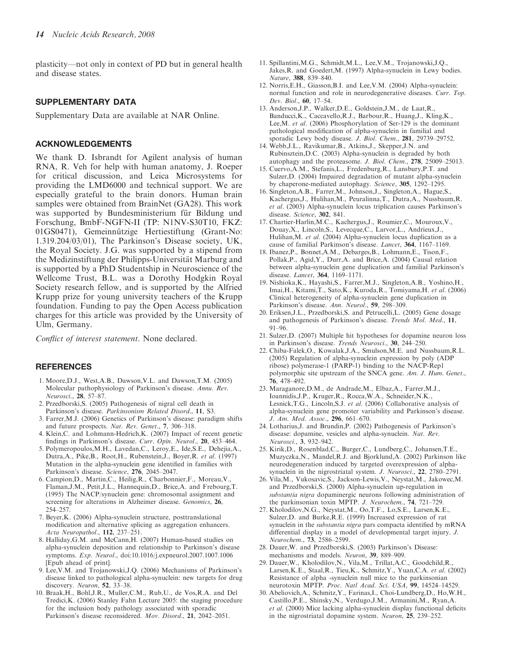plasticity—not only in context of PD but in general health and disease states.

#### SUPPLEMENTARY DATA

Supplementary Data are available at NAR Online.

#### ACKNOWLEDGEMENTS

We thank D. Isbrandt for Agilent analysis of human RNA, R. Veh for help with human anatomy, J. Roeper for critical discussion, and Leica Microsystems for providing the LMD6000 and technical support. We are especially grateful to the brain donors. Human brain samples were obtained from BrainNet (GA28). This work was supported by Bundesministerium für Bildung und Forschung, BmbF-NGFN-II (TP: N1NV-S30T10, FKZ: 01GS0471), Gemeinnützige Hertiestiftung (Grant-No: 1.319.204/03/01), The Parkinson's Disease society, UK, the Royal Society. J.G. was supported by a stipend from the Medizinstiftung der Philipps-Universität Marburg and is supported by a PhD Studentship in Neuroscience of the Wellcome Trust, B.L. was a Dorothy Hodgkin Royal Society research fellow, and is supported by the Alfried Krupp prize for young university teachers of the Krupp foundation. Funding to pay the Open Access publication charges for this article was provided by the University of Ulm, Germany.

Conflict of interest statement. None declared.

#### **REFERENCES**

- 1. Moore,D.J., West,A.B., Dawson,V.L. and Dawson,T.M. (2005) Molecular pathophysiology of Parkinson's disease. Annu. Rev. Neurosci., 28, 57–87.
- 2. Przedborski,S. (2005) Pathogenesis of nigral cell death in Parkinson's disease. Parkinsonism Related Disord., 11, S3.
- 3. Farrer,M.J. (2006) Genetics of Parkinson's disease: paradigm shifts and future prospects. Nat. Rev. Genet., 7, 306–318.
- 4. Klein,C. and Lohmann-Hedrich,K. (2007) Impact of recent genetic findings in Parkinson's disease. Curr. Opin. Neurol., 20, 453–464.
- 5. Polymeropoulos,M.H., Lavedan,C., Leroy,E., Ide,S.E., Dehejia,A., Dutra,A., Pike,B., Root,H., Rubenstein,J., Boyer,R. et al. (1997) Mutation in the alpha-synuclein gene identified in families with Parkinson's disease. Science, 276, 2045–2047.
- 6. Campion,D., Martin,C., Heilig,R., Charbonnier,F., Moreau,V., Flaman,J.M., Petit,J.L., Hannequin,D., Brice,A. and Frebourg,T. (1995) The NACP/synuclein gene: chromosomal assignment and screening for alterations in Alzheimer disease. Genomics, 26, 254–257.
- 7. Beyer,K. (2006) Alpha-synuclein structure, posttranslational modification and alternative splicing as aggregation enhancers. Acta Neuropathol., 112, 237–251.
- 8. Halliday,G.M. and McCann,H. (2007) Human-based studies on alpha-synuclein deposition and relationship to Parkinson's disease symptoms. Exp. Neurol., doi:10.1016/j.expneurol.2007.1007.1006 [Epub ahead of print].
- 9. Lee,V.M. and Trojanowski,J.Q. (2006) Mechanisms of Parkinson's disease linked to pathological alpha-synuclein: new targets for drug discovery. Neuron, 52, 33–38.
- 10. Braak,H., Bohl,J.R., Muller,C.M., Rub,U., de Vos,R.A. and Del Tredici,K. (2006) Stanley Fahn Lecture 2005: the staging procedure for the inclusion body pathology associated with sporadic Parkinson's disease reconsidered. Mov. Disord., 21, 2042–2051.
- 11. Spillantini,M.G., Schmidt,M.L., Lee,V.M., Trojanowski,J.Q., Jakes,R. and Goedert,M. (1997) Alpha-synuclein in Lewy bodies. Nature, 388, 839–840.
- 12. Norris,E.H., Giasson,B.I. and Lee,V.M. (2004) Alpha-synuclein: normal function and role in neurodegenerative diseases. Curr. Top. Dev. Biol., 60, 17–54.
- 13. Anderson,J.P., Walker,D.E., Goldstein,J.M., de Laat,R., Banducci,K., Caccavello,R.J., Barbour,R., Huang,J., Kling,K., Lee,M. et al. (2006) Phosphorylation of Ser-129 is the dominant pathological modification of alpha-synuclein in familial and sporadic Lewy body disease. *J. Biol. Chem.*, **281**, 29739-29752.
- 14. Webb,J.L., Ravikumar,B., Atkins,J., Skepper,J.N. and Rubinsztein,D.C. (2003) Alpha-synuclein is degraded by both autophagy and the proteasome. J. Biol. Chem., 278, 25009–25013.
- 15. Cuervo,A.M., Stefanis,L., Fredenburg,R., Lansbury,P.T. and Sulzer,D. (2004) Impaired degradation of mutant alpha-synuclein by chaperone-mediated autophagy. Science, 305, 1292–1295.
- 16. Singleton,A.B., Farrer,M., Johnson,J., Singleton,A., Hague,S., Kachergus,J., Hulihan,M., Peuralinna,T., Dutra,A., Nussbaum,R. et al. (2003) Alpha-synuclein locus triplication causes Parkinson's disease. Science, 302, 841.
- 17. Chartier-Harlin,M.C., Kachergus,J., Roumier,C., Mouroux,V., Douay,X., Lincoln,S., Levecque,C., Larvor,L., Andrieux,J., Hulihan, M. et al. (2004) Alpha-synuclein locus duplication as a cause of familial Parkinson's disease. Lancet, 364, 1167–1169.
- 18. Ibanez,P., Bonnet,A.M., Debarges,B., Lohmann,E., Tison,F., Pollak,P., Agid,Y., Durr,A. and Brice,A. (2004) Causal relation between alpha-synuclein gene duplication and familial Parkinson's disease. Lancet, 364, 1169-1171.
- 19. Nishioka,K., Hayashi,S., Farrer,M.J., Singleton,A.B., Yoshino,H., Imai,H., Kitami,T., Sato,K., Kuroda,R., Tomiyama,H. et al. (2006) Clinical heterogeneity of alpha-synuclein gene duplication in Parkinson's disease. Ann. Neurol., 59, 298–309.
- 20. Eriksen,J.L., Przedborski,S. and Petrucelli,L. (2005) Gene dosage and pathogenesis of Parkinson's disease. Trends Mol. Med., 11,  $91-96$
- 21. Sulzer,D. (2007) Multiple hit hypotheses for dopamine neuron loss in Parkinson's disease. Trends Neurosci., 30, 244–250.
- 22. Chiba-Falek,O., Kowalak,J.A., Smulson,M.E. and Nussbaum,R.L. (2005) Regulation of alpha-synuclein expression by poly (ADP ribose) polymerase-1 (PARP-1) binding to the NACP-Rep1 polymorphic site upstream of the SNCA gene. Am. J. Hum. Genet., 76, 478–492.
- 23. Maraganore,D.M., de Andrade,M., Elbaz,A., Farrer,M.J., Ioannidis,J.P., Kruger,R., Rocca,W.A., Schneider,N.K., Lesnick,T.G., Lincoln,S.J. et al. (2006) Collaborative analysis of alpha-synuclein gene promoter variability and Parkinson's disease. J. Am. Med. Assoc., 296, 661–670.
- 24. Lotharius,J. and Brundin,P. (2002) Pathogenesis of Parkinson's disease: dopamine, vesicles and alpha-synuclein. Nat. Rev. Neurosci., 3, 932–942.
- 25. Kirik,D., Rosenblad,C., Burger,C., Lundberg,C., Johansen,T.E., Muzyczka,N., Mandel,R.J. and Bjorklund,A. (2002) Parkinson like neurodegeneration induced by targeted overexpression of alphasynuclein in the nigrostriatal system. J. Neurosci., 22, 2780–2791.
- 26. Vila,M., Vukosavic,S., Jackson-Lewis,V., Neystat,M., Jakowec,M. and Przedborski,S. (2000) Alpha-synuclein up-regulation in substantia nigra dopaminergic neurons following administration of the parkinsonian toxin MPTP. J. Neurochem., 74, 721–729.
- 27. Kholodilov,N.G., Neystat,M., Oo,T.F., Lo,S.E., Larsen,K.E., Sulzer,D. and Burke,R.E. (1999) Increased expression of rat synuclein in the substantia nigra pars compacta identified by mRNA differential display in a model of developmental target injury. J. Neurochem., 73, 2586–2599.
- 28. Dauer,W. and Przedborski,S. (2003) Parkinson's Disease: mechanisms and models. Neuron, 39, 889–909.
- 29. Dauer,W., Kholodilov,N., Vila,M., Trillat,A.C., Goodchild,R., Larsen,K.E., Staal,R., Tieu,K., Schmitz,Y., Yuan,C.A. et al. (2002) Resistance of alpha -synuclein null mice to the parkinsonian neurotoxin MPTP. Proc. Natl Acad. Sci. USA, 99, 14524–14529.
- 30. Abeliovich,A., Schmitz,Y., Farinas,I., Choi-Lundberg,D., Ho,W.H., Castillo,P.E., Shinsky,N., Verdugo,J.M., Armanini,M., Ryan,A. et al. (2000) Mice lacking alpha-synuclein display functional deficits in the nigrostriatal dopamine system. Neuron, 25, 239–252.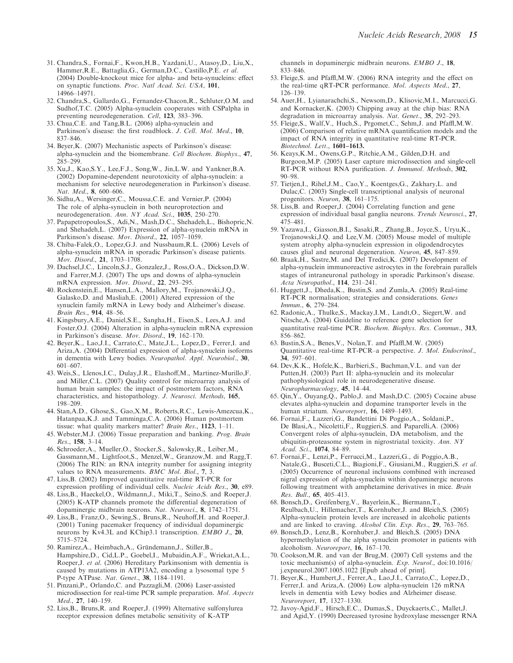- 31. Chandra,S., Fornai,F., Kwon,H.B., Yazdani,U., Atasoy,D., Liu,X., Hammer,R.E., Battaglia,G., German,D.C., Castillo,P.E. et al. (2004) Double-knockout mice for alpha- and beta-synucleins: effect on synaptic functions. Proc. Natl Acad. Sci. USA, 101, 14966–14971.
- 32. Chandra,S., Gallardo,G., Fernandez-Chacon,R., Schluter,O.M. and Sudhof,T.C. (2005) Alpha-synuclein cooperates with CSPalpha in preventing neurodegeneration. Cell, 123, 383-396.
- 33. Chua,C.E. and Tang,B.L. (2006) alpha-synuclein and Parkinson's disease: the first roadblock. J. Cell. Mol. Med., 10, 837–846.
- 34. Beyer,K. (2007) Mechanistic aspects of Parkinson's disease: alpha-synuclein and the biomembrane. Cell Biochem. Biophys., 47, 285–299.
- 35. Xu,J., Kao,S.Y., Lee,F.J., Song,W., Jin,L.W. and Yankner,B.A. (2002) Dopamine-dependent neurotoxicity of alpha-synuclein: a mechanism for selective neurodegeneration in Parkinson's disease. Nat. Med., 8, 600–606.
- 36. Sidhu,A., Wersinger,C., Moussa,C.E. and Vernier,P. (2004) The role of alpha-synuclein in both neuroprotection and neurodegeneration. Ann. NY Acad. Sci., 1035, 250–270.
- 37. Papapetropoulos,S., Adi,N., Mash,D.C., Shehadeh,L., Bishopric,N. and Shehadeh,L. (2007) Expression of alpha-synuclein mRNA in Parkinson's disease. Mov. Disord., 22, 1057-1059.
- 38. Chiba-Falek,O., Lopez,G.J. and Nussbaum,R.L. (2006) Levels of alpha-synuclein mRNA in sporadic Parkinson's disease patients. Mov. Disord., 21, 1703–1708.
- 39. Dachsel,J.C., Lincoln,S.J., Gonzalez,J., Ross,O.A., Dickson,D.W. and Farrer,M.J. (2007) The ups and downs of alpha-synuclein mRNA expression. Mov. Disord., 22, 293–295.
- 40. Rockenstein,E., Hansen,L.A., Mallory,M., Trojanowski,J.Q., Galasko,D. and Masliah,E. (2001) Altered expression of the synuclein family mRNA in Lewy body and Alzheimer's disease. Brain Res., 914, 48–56.
- 41. Kingsbury,A.E., Daniel,S.E., Sangha,H., Eisen,S., Lees,A.J. and Foster,O.J. (2004) Alteration in alpha-synuclein mRNA expression in Parkinson's disease. Mov. Disord., 19, 162–170.
- 42. Beyer,K., Lao,J.I., Carrato,C., Mate,J.L., Lopez,D., Ferrer,I. and Ariza,A. (2004) Differential expression of alpha-synuclein isoforms in dementia with Lewy bodies. Neuropathol. Appl. Neurobiol., 30, 601–607.
- 43. Weis,S., Llenos,I.C., Dulay,J.R., Elashoff,M., Martinez-Murillo,F. and Miller,C.L. (2007) Quality control for microarray analysis of human brain samples: the impact of postmortem factors, RNA characteristics, and histopathology. J. Neurosci. Methods, 165, 198–209.
- 44. Stan,A.D., Ghose,S., Gao,X.M., Roberts,R.C., Lewis-Amezcua,K., Hatanpaa,K.J. and Tamminga,C.A. (2006) Human postmortem tissue: what quality markers matter? *Brain Res.*, 1123, 1–11.
- 45. Webster,M.J. (2006) Tissue preparation and banking. Prog. Brain Res., 158, 3–14.
- 46. Schroeder,A., Mueller,O., Stocker,S., Salowsky,R., Leiber,M., Gassmann,M., Lightfoot,S., Menzel,W., Granzow,M. and Ragg,T. (2006) The RIN: an RNA integrity number for assigning integrity values to RNA measurements. BMC Mol. Biol., 7, 3.
- 47. Liss,B. (2002) Improved quantitative real-time RT-PCR for expression profiling of individual cells. Nucleic Acids Res., 30, e89.
- 48. Liss,B., Haeckel,O., Wildmann,J., Miki,T., Seino,S. and Roeper,J. (2005) K-ATP channels promote the differential degeneration of dopaminergic midbrain neurons. Nat. Neurosci., 8, 1742–1751.
- 49. Liss,B., Franz,O., Sewing,S., Bruns,R., Neuhoff,H. and Roeper,J. (2001) Tuning pacemaker frequency of individual dopaminergic neurons by Kv4.3L and KChip3.1 transcription. EMBO J., 20, 5715–5724.
- 50. Ramirez, A., Heimbach, A., Gründemann, J., Stiller, B., Hampshire,D., Cid,L.P., Goebel,I., Mubaidin,A.F., Wriekat,A.L., Roeper,J. et al. (2006) Hereditary Parkinsonism with dementia is caused by mutations in ATP13A2, encoding a lysosomal type 5 P-type ATPase. Nat. Genet., 38, 1184–1191.
- 51. Pinzani,P., Orlando,C. and Pazzagli,M. (2006) Laser-assisted microdissection for real-time PCR sample preparation. Mol. Aspects Med., 27, 140–159.
- 52. Liss,B., Bruns,R. and Roeper,J. (1999) Alternative sulfonylurea receptor expression defines metabolic sensitivity of K-ATP

channels in dopaminergic midbrain neurons. EMBO J., 18, 833–846.

- 53. Fleige,S. and Pfaffl,M.W. (2006) RNA integrity and the effect on the real-time qRT-PCR performance. Mol. Aspects Med., 27, 126–139.
- 54. Auer,H., Lyianarachchi,S., Newsom,D., Klisovic,M.I., Marcucci,G. and Kornacker,K. (2003) Chipping away at the chip bias: RNA degradation in microarray analysis. Nat. Genet., 35, 292–293.
- 55. Fleige,S., Walf,V., Huch,S., Prgomet,C., Sehm,J. and Pfaffl,M.W. (2006) Comparison of relative mRNA quantification models and the impact of RNA integrity in quantitative real-time RT-PCR. Biotechnol. Lett., 1601–1613.
- 56. Keays,K.M., Owens,G.P., Ritchie,A.M., Gilden,D.H. and Burgoon,M.P. (2005) Laser capture microdissection and single-cell RT-PCR without RNA purification. J. Immunol. Methods, 302, 90–98.
- 57. Tietjen,I., Rihel,J.M., Cao,Y., Koentges,G., Zakhary,L. and Dulac,C. (2003) Single-cell transcriptional analysis of neuronal progenitors. Neuron, 38, 161–175.
- 58. Liss,B. and Roeper,J. (2004) Correlating function and gene expression of individual basal ganglia neurons. Trends Neurosci., 27, 475–481.
- 59. Yazawa,I., Giasson,B.I., Sasaki,R., Zhang,B., Joyce,S., Uryu,K., Trojanowski,J.Q. and Lee,V.M. (2005) Mouse model of multiple system atrophy alpha-synuclein expression in oligodendrocytes causes glial and neuronal degeneration. Neuron, 45, 847–859.
- 60. Braak,H., Sastre,M. and Del Tredici,K. (2007) Development of alpha-synuclein immunoreactive astrocytes in the forebrain parallels stages of intraneuronal pathology in sporadic Parkinson's disease. Acta Neuropathol., 114, 231–241.
- 61. Huggett,J., Dheda,K., Bustin,S. and Zumla,A. (2005) Real-time RT-PCR normalisation; strategies and considerations. Genes Immun., 6, 279–284.
- 62. Radonic,A., Thulke,S., Mackay,I.M., Landt,O., Siegert,W. and Nitsche,A. (2004) Guideline to reference gene selection for quantitative real-time PCR. Biochem. Biophys. Res. Commun., 313, 856–862.
- 63. Bustin,S.A., Benes,V., Nolan,T. and Pfaffl,M.W. (2005) Quantitative real-time RT-PCR–a perspective. J. Mol. Endocrinol., 34, 597–601.
- 64. Dev,K.K., Hofele,K., Barbieri,S., Buchman,V.L. and van der Putten,H. (2003) Part II: alpha-synuclein and its molecular pathophysiological role in neurodegenerative disease. Neuropharmacology, 45, 14–44.
- 65. Qin,Y., Ouyang,Q., Pablo,J. and Mash,D.C. (2005) Cocaine abuse elevates alpha-synuclein and dopamine transporter levels in the human striatum. Neuroreport, 16, 1489–1493.
- 66. Fornai,F., Lazzeri,G., Bandettini Di Poggio,A., Soldani,P., De Blasi,A., Nicoletti,F., Ruggieri,S. and Paparelli,A. (2006) Convergent roles of alpha-synuclein, DA metabolism, and the ubiquitin-proteasome system in nigrostriatal toxicity. Ann. NY Acad. Sci., 1074, 84–89.
- 67. Fornai,F., Lenzi,P., Ferrucci,M., Lazzeri,G., di Poggio,A.B., Natale,G., Busceti,C.L., Biagioni,F., Giusiani,M., Ruggieri,S. et al. (2005) Occurrence of neuronal inclusions combined with increased nigral expression of alpha-synuclein within dopaminergic neurons following treatment with amphetamine derivatives in mice. Brain Res. Bull., 65, 405–413.
- 68. Bonsch,D., Greifenberg,V., Bayerlein,K., Biermann,T., Reulbach,U., Hillemacher,T., Kornhuber,J. and Bleich,S. (2005) Alpha-synuclein protein levels are increased in alcoholic patients and are linked to craving. Alcohol Clin. Exp. Res., 29, 763–765.
- 69. Bonsch,D., Lenz,B., Kornhuber,J. and Bleich,S. (2005) DNA hypermethylation of the alpha synuclein promoter in patients with alcoholism. Neuroreport, 16, 167–170.
- 70. Cookson,M.R. and van der Brug,M. (2007) Cell systems and the toxic mechanism(s) of alpha-synuclein. Exp. Neurol., doi:10.1016/ j.expneurol.2007.1005.1022 [Epub ahead of print].
- 71. Beyer,K., Humbert,J., Ferrer,A., Lao,J.I., Carrato,C., Lopez,D., Ferrer,I. and Ariza,A. (2006) Low alpha-synuclein 126 mRNA levels in dementia with Lewy bodies and Alzheimer disease. Neuroreport, 17, 1327–1330.
- 72. Javoy-Agid,F., Hirsch,E.C., Dumas,S., Duyckaerts,C., Mallet,J. and Agid,Y. (1990) Decreased tyrosine hydroxylase messenger RNA